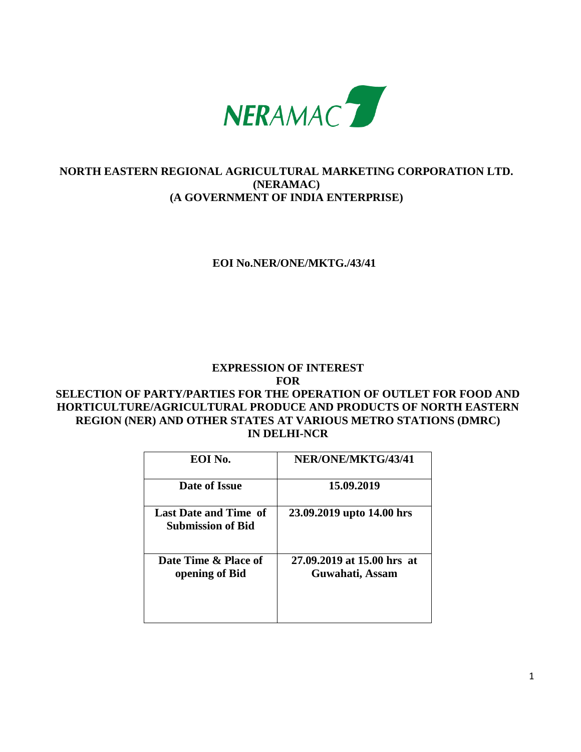

# **NORTH EASTERN REGIONAL AGRICULTURAL MARKETING CORPORATION LTD. (NERAMAC) (A GOVERNMENT OF INDIA ENTERPRISE)**

# **EOI No.NER/ONE/MKTG./43/41**

# **EXPRESSION OF INTEREST FOR SELECTION OF PARTY/PARTIES FOR THE OPERATION OF OUTLET FOR FOOD AND**

# **HORTICULTURE/AGRICULTURAL PRODUCE AND PRODUCTS OF NORTH EASTERN REGION (NER) AND OTHER STATES AT VARIOUS METRO STATIONS (DMRC) IN DELHI-NCR**

| EOI No.                                                  | NER/ONE/MKTG/43/41                             |
|----------------------------------------------------------|------------------------------------------------|
| Date of Issue                                            | 15.09.2019                                     |
| <b>Last Date and Time of</b><br><b>Submission of Bid</b> | 23.09.2019 upto 14.00 hrs                      |
| Date Time & Place of<br>opening of Bid                   | 27.09.2019 at 15.00 hrs. at<br>Guwahati, Assam |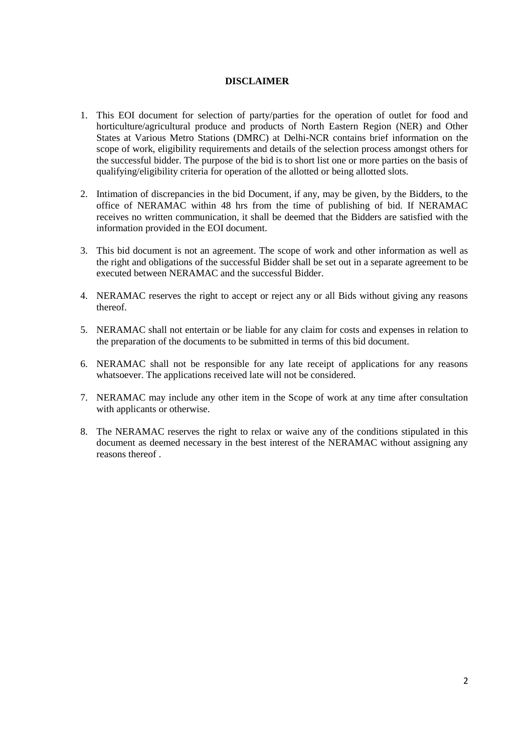#### **DISCLAIMER**

- 1. This EOI document for selection of party/parties for the operation of outlet for food and horticulture/agricultural produce and products of North Eastern Region (NER) and Other States at Various Metro Stations (DMRC) at Delhi-NCR contains brief information on the scope of work, eligibility requirements and details of the selection process amongst others for the successful bidder. The purpose of the bid is to short list one or more parties on the basis of qualifying/eligibility criteria for operation of the allotted or being allotted slots.
- 2. Intimation of discrepancies in the bid Document, if any, may be given, by the Bidders, to the office of NERAMAC within 48 hrs from the time of publishing of bid. If NERAMAC receives no written communication, it shall be deemed that the Bidders are satisfied with the information provided in the EOI document.
- 3. This bid document is not an agreement. The scope of work and other information as well as the right and obligations of the successful Bidder shall be set out in a separate agreement to be executed between NERAMAC and the successful Bidder.
- 4. NERAMAC reserves the right to accept or reject any or all Bids without giving any reasons thereof.
- 5. NERAMAC shall not entertain or be liable for any claim for costs and expenses in relation to the preparation of the documents to be submitted in terms of this bid document.
- 6. NERAMAC shall not be responsible for any late receipt of applications for any reasons whatsoever. The applications received late will not be considered.
- 7. NERAMAC may include any other item in the Scope of work at any time after consultation with applicants or otherwise.
- 8. The NERAMAC reserves the right to relax or waive any of the conditions stipulated in this document as deemed necessary in the best interest of the NERAMAC without assigning any reasons thereof .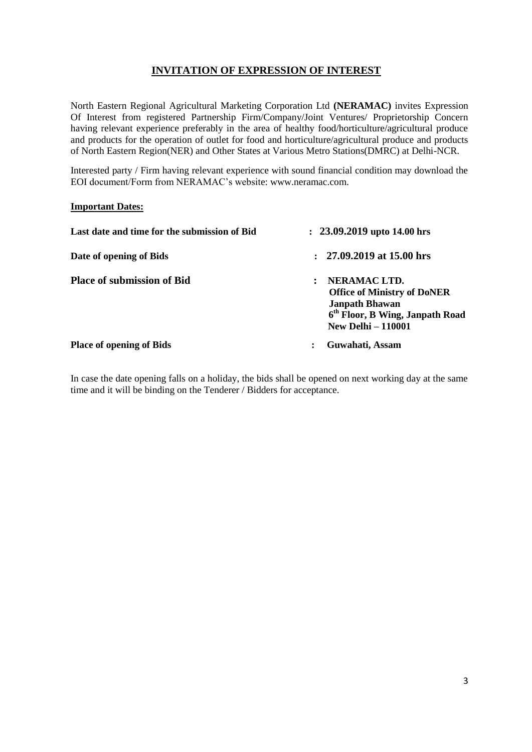# **INVITATION OF EXPRESSION OF INTEREST**

North Eastern Regional Agricultural Marketing Corporation Ltd **(NERAMAC)** invites Expression Of Interest from registered Partnership Firm/Company/Joint Ventures/ Proprietorship Concern having relevant experience preferably in the area of healthy food/horticulture/agricultural produce and products for the operation of outlet for food and horticulture/agricultural produce and products of North Eastern Region(NER) and Other States at Various Metro Stations(DMRC) at Delhi-NCR.

Interested party / Firm having relevant experience with sound financial condition may download the EOI document/Form from NERAMAC's website: www.neramac.com.

#### **Important Dates:**

| Last date and time for the submission of Bid | $: 23.09.2019$ upto 14.00 hrs                                                                                                                           |  |  |
|----------------------------------------------|---------------------------------------------------------------------------------------------------------------------------------------------------------|--|--|
| Date of opening of Bids                      | $: 27.09.2019$ at 15.00 hrs                                                                                                                             |  |  |
| <b>Place of submission of Bid</b>            | NERAMAC LTD.<br><b>Office of Ministry of DoNER</b><br><b>Janpath Bhawan</b><br>6 <sup>th</sup> Floor, B Wing, Janpath Road<br><b>New Delhi - 110001</b> |  |  |
| <b>Place of opening of Bids</b>              | Guwahati, Assam<br>٠                                                                                                                                    |  |  |

In case the date opening falls on a holiday, the bids shall be opened on next working day at the same time and it will be binding on the Tenderer / Bidders for acceptance.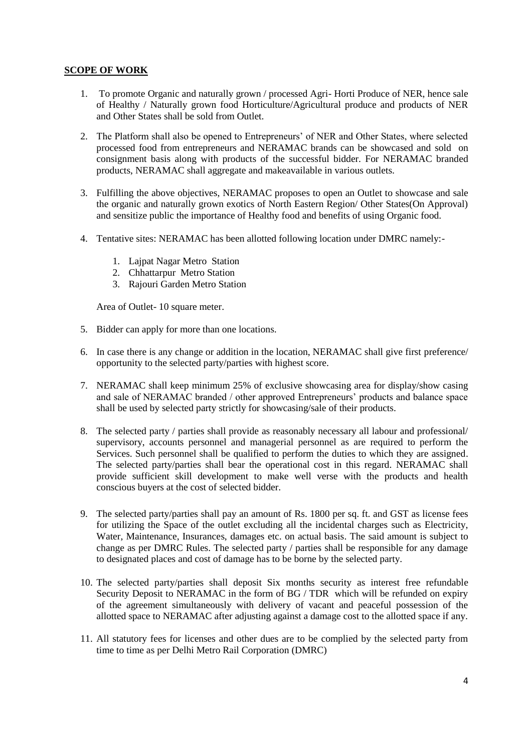## **SCOPE OF WORK**

- 1. To promote Organic and naturally grown / processed Agri- Horti Produce of NER, hence sale of Healthy / Naturally grown food Horticulture/Agricultural produce and products of NER and Other States shall be sold from Outlet.
- 2. The Platform shall also be opened to Entrepreneurs' of NER and Other States, where selected processed food from entrepreneurs and NERAMAC brands can be showcased and sold on consignment basis along with products of the successful bidder. For NERAMAC branded products, NERAMAC shall aggregate and makeavailable in various outlets.
- 3. Fulfilling the above objectives, NERAMAC proposes to open an Outlet to showcase and sale the organic and naturally grown exotics of North Eastern Region/ Other States(On Approval) and sensitize public the importance of Healthy food and benefits of using Organic food.
- 4. Tentative sites: NERAMAC has been allotted following location under DMRC namely:-
	- 1. Lajpat Nagar Metro Station
	- 2. Chhattarpur Metro Station
	- 3. Rajouri Garden Metro Station

Area of Outlet- 10 square meter.

- 5. Bidder can apply for more than one locations.
- 6. In case there is any change or addition in the location, NERAMAC shall give first preference/ opportunity to the selected party/parties with highest score.
- 7. NERAMAC shall keep minimum 25% of exclusive showcasing area for display/show casing and sale of NERAMAC branded / other approved Entrepreneurs' products and balance space shall be used by selected party strictly for showcasing/sale of their products.
- 8. The selected party / parties shall provide as reasonably necessary all labour and professional/ supervisory, accounts personnel and managerial personnel as are required to perform the Services. Such personnel shall be qualified to perform the duties to which they are assigned. The selected party/parties shall bear the operational cost in this regard. NERAMAC shall provide sufficient skill development to make well verse with the products and health conscious buyers at the cost of selected bidder.
- 9. The selected party/parties shall pay an amount of Rs. 1800 per sq. ft. and GST as license fees for utilizing the Space of the outlet excluding all the incidental charges such as Electricity, Water, Maintenance, Insurances, damages etc. on actual basis. The said amount is subject to change as per DMRC Rules. The selected party / parties shall be responsible for any damage to designated places and cost of damage has to be borne by the selected party.
- 10. The selected party/parties shall deposit Six months security as interest free refundable Security Deposit to NERAMAC in the form of BG / TDR which will be refunded on expiry of the agreement simultaneously with delivery of vacant and peaceful possession of the allotted space to NERAMAC after adjusting against a damage cost to the allotted space if any.
- 11. All statutory fees for licenses and other dues are to be complied by the selected party from time to time as per Delhi Metro Rail Corporation (DMRC)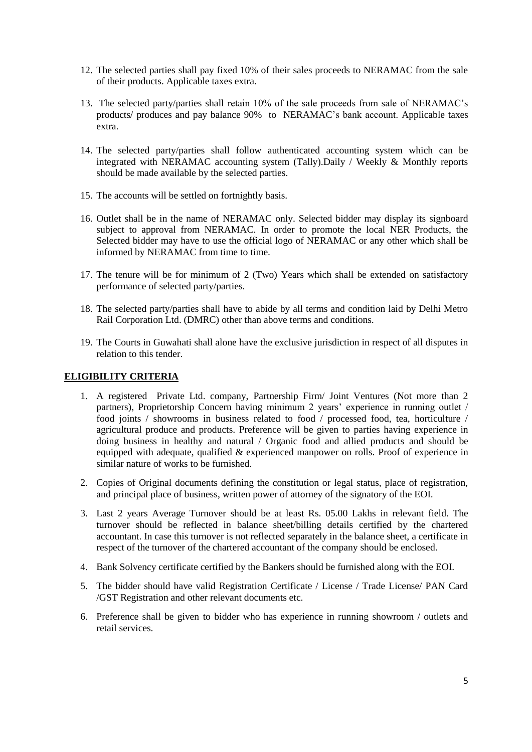- 12. The selected parties shall pay fixed 10% of their sales proceeds to NERAMAC from the sale of their products. Applicable taxes extra.
- 13. The selected party/parties shall retain 10% of the sale proceeds from sale of NERAMAC's products/ produces and pay balance 90% to NERAMAC's bank account. Applicable taxes extra.
- 14. The selected party/parties shall follow authenticated accounting system which can be integrated with NERAMAC accounting system (Tally).Daily / Weekly & Monthly reports should be made available by the selected parties.
- 15. The accounts will be settled on fortnightly basis.
- 16. Outlet shall be in the name of NERAMAC only. Selected bidder may display its signboard subject to approval from NERAMAC. In order to promote the local NER Products, the Selected bidder may have to use the official logo of NERAMAC or any other which shall be informed by NERAMAC from time to time.
- 17. The tenure will be for minimum of 2 (Two) Years which shall be extended on satisfactory performance of selected party/parties.
- 18. The selected party/parties shall have to abide by all terms and condition laid by Delhi Metro Rail Corporation Ltd. (DMRC) other than above terms and conditions.
- 19. The Courts in Guwahati shall alone have the exclusive jurisdiction in respect of all disputes in relation to this tender.

#### **ELIGIBILITY CRITERIA**

- 1. A registered Private Ltd. company, Partnership Firm/ Joint Ventures (Not more than 2 partners), Proprietorship Concern having minimum 2 years' experience in running outlet / food joints / showrooms in business related to food / processed food, tea, horticulture / agricultural produce and products. Preference will be given to parties having experience in doing business in healthy and natural / Organic food and allied products and should be equipped with adequate, qualified & experienced manpower on rolls. Proof of experience in similar nature of works to be furnished.
- 2. Copies of Original documents defining the constitution or legal status, place of registration, and principal place of business, written power of attorney of the signatory of the EOI.
- 3. Last 2 years Average Turnover should be at least Rs. 05.00 Lakhs in relevant field. The turnover should be reflected in balance sheet/billing details certified by the chartered accountant. In case this turnover is not reflected separately in the balance sheet, a certificate in respect of the turnover of the chartered accountant of the company should be enclosed.
- 4. Bank Solvency certificate certified by the Bankers should be furnished along with the EOI.
- 5. The bidder should have valid Registration Certificate / License / Trade License/ PAN Card /GST Registration and other relevant documents etc.
- 6. Preference shall be given to bidder who has experience in running showroom / outlets and retail services.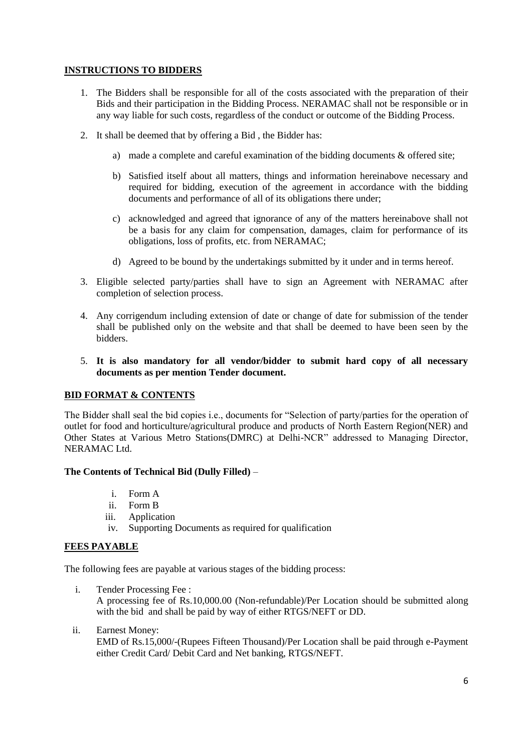# **INSTRUCTIONS TO BIDDERS**

- 1. The Bidders shall be responsible for all of the costs associated with the preparation of their Bids and their participation in the Bidding Process. NERAMAC shall not be responsible or in any way liable for such costs, regardless of the conduct or outcome of the Bidding Process.
- 2. It shall be deemed that by offering a Bid , the Bidder has:
	- a) made a complete and careful examination of the bidding documents & offered site;
	- b) Satisfied itself about all matters, things and information hereinabove necessary and required for bidding, execution of the agreement in accordance with the bidding documents and performance of all of its obligations there under;
	- c) acknowledged and agreed that ignorance of any of the matters hereinabove shall not be a basis for any claim for compensation, damages, claim for performance of its obligations, loss of profits, etc. from NERAMAC;
	- d) Agreed to be bound by the undertakings submitted by it under and in terms hereof.
- 3. Eligible selected party/parties shall have to sign an Agreement with NERAMAC after completion of selection process.
- 4. Any corrigendum including extension of date or change of date for submission of the tender shall be published only on the website and that shall be deemed to have been seen by the bidders.
- 5. **It is also mandatory for all vendor/bidder to submit hard copy of all necessary documents as per mention Tender document.**

#### **BID FORMAT & CONTENTS**

The Bidder shall seal the bid copies i.e., documents for "Selection of party/parties for the operation of outlet for food and horticulture/agricultural produce and products of North Eastern Region(NER) and Other States at Various Metro Stations(DMRC) at Delhi-NCR" addressed to Managing Director, NERAMAC Ltd.

#### **The Contents of Technical Bid (Dully Filled)** –

- i. Form A
- ii. Form B
- iii. Application
- iv. Supporting Documents as required for qualification

#### **FEES PAYABLE**

The following fees are payable at various stages of the bidding process:

- i. Tender Processing Fee : A processing fee of Rs.10,000.00 (Non-refundable)/Per Location should be submitted along with the bid and shall be paid by way of either RTGS/NEFT or DD.
- ii. Earnest Money:

EMD of Rs.15,000/-(Rupees Fifteen Thousand)/Per Location shall be paid through e-Payment either Credit Card/ Debit Card and Net banking, RTGS/NEFT.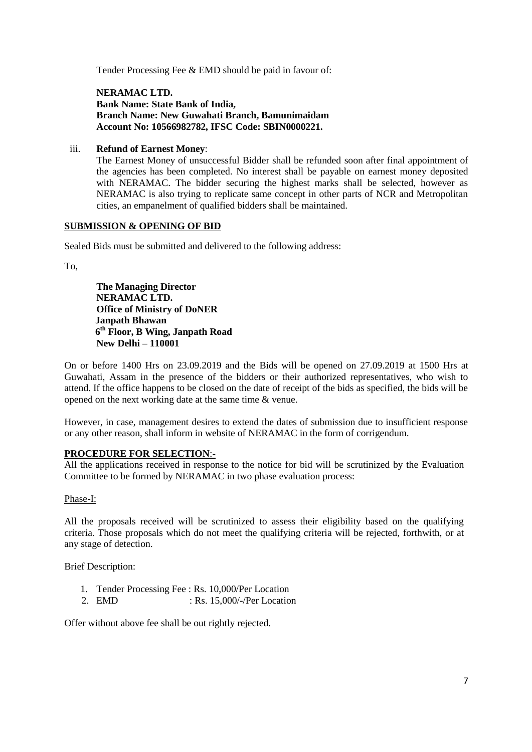Tender Processing Fee & EMD should be paid in favour of:

**NERAMAC LTD. Bank Name: State Bank of India, Branch Name: New Guwahati Branch, Bamunimaidam Account No: 10566982782, IFSC Code: SBIN0000221.**

#### iii. **Refund of Earnest Money**:

The Earnest Money of unsuccessful Bidder shall be refunded soon after final appointment of the agencies has been completed. No interest shall be payable on earnest money deposited with NERAMAC. The bidder securing the highest marks shall be selected, however as NERAMAC is also trying to replicate same concept in other parts of NCR and Metropolitan cities, an empanelment of qualified bidders shall be maintained.

#### **SUBMISSION & OPENING OF BID**

Sealed Bids must be submitted and delivered to the following address:

To,

**The Managing Director NERAMAC LTD. Office of Ministry of DoNER Janpath Bhawan 6 th Floor, B Wing, Janpath Road New Delhi – 110001**

On or before 1400 Hrs on 23.09.2019 and the Bids will be opened on 27.09.2019 at 1500 Hrs at Guwahati, Assam in the presence of the bidders or their authorized representatives, who wish to attend. If the office happens to be closed on the date of receipt of the bids as specified, the bids will be opened on the next working date at the same time & venue.

However, in case, management desires to extend the dates of submission due to insufficient response or any other reason, shall inform in website of NERAMAC in the form of corrigendum.

#### **PROCEDURE FOR SELECTION**:-

All the applications received in response to the notice for bid will be scrutinized by the Evaluation Committee to be formed by NERAMAC in two phase evaluation process:

#### Phase-I:

All the proposals received will be scrutinized to assess their eligibility based on the qualifying criteria. Those proposals which do not meet the qualifying criteria will be rejected, forthwith, or at any stage of detection.

Brief Description:

- 1. Tender Processing Fee : Rs. 10,000/Per Location
- 2. EMD : Rs. 15,000/-/Per Location

Offer without above fee shall be out rightly rejected.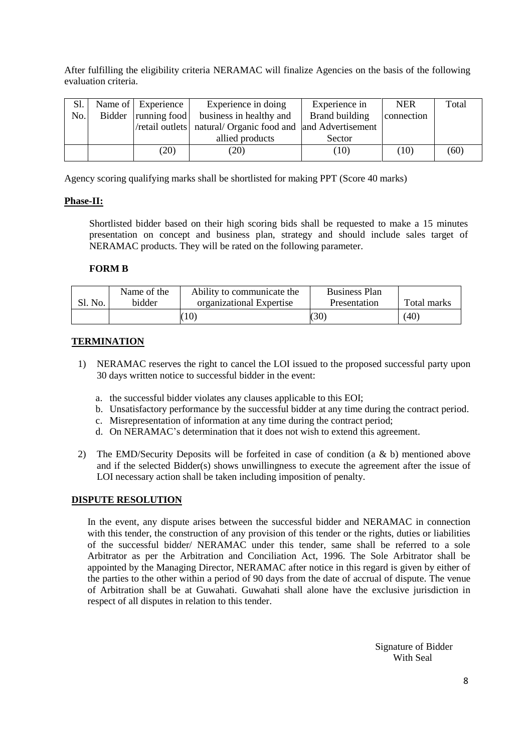After fulfilling the eligibility criteria NERAMAC will finalize Agencies on the basis of the following evaluation criteria.

| S1. | Name of Experience    | Experience in doing                                           | Experience in | <b>NER</b> | Total |
|-----|-----------------------|---------------------------------------------------------------|---------------|------------|-------|
| No. | Bidder   running food | Brand building<br>business in healthy and                     |               | connection |       |
|     |                       | /retail outlets   natural/ Organic food and and Advertisement |               |            |       |
|     |                       | allied products                                               | Sector        |            |       |
|     | (20)                  | (20)                                                          | (10)          | (10)       | (60)  |
|     |                       |                                                               |               |            |       |

Agency scoring qualifying marks shall be shortlisted for making PPT (Score 40 marks)

## **Phase-II:**

Shortlisted bidder based on their high scoring bids shall be requested to make a 15 minutes presentation on concept and business plan, strategy and should include sales target of NERAMAC products. They will be rated on the following parameter.

#### **FORM B**

|         | Name of the | Ability to communicate the | <b>Business Plan</b> |             |
|---------|-------------|----------------------------|----------------------|-------------|
| Sl. No. | bidder      | organizational Expertise   | Presentation         | Total marks |
|         |             | ,10 <sup>5</sup>           | (30)                 | (40)        |

## **TERMINATION**

- 1) NERAMAC reserves the right to cancel the LOI issued to the proposed successful party upon 30 days written notice to successful bidder in the event:
	- a. the successful bidder violates any clauses applicable to this EOI;
	- b. Unsatisfactory performance by the successful bidder at any time during the contract period.
	- c. Misrepresentation of information at any time during the contract period;
	- d. On NERAMAC's determination that it does not wish to extend this agreement.
- 2) The EMD/Security Deposits will be forfeited in case of condition (a & b) mentioned above and if the selected Bidder(s) shows unwillingness to execute the agreement after the issue of LOI necessary action shall be taken including imposition of penalty.

#### **DISPUTE RESOLUTION**

In the event, any dispute arises between the successful bidder and NERAMAC in connection with this tender, the construction of any provision of this tender or the rights, duties or liabilities of the successful bidder/ NERAMAC under this tender, same shall be referred to a sole Arbitrator as per the Arbitration and Conciliation Act, 1996. The Sole Arbitrator shall be appointed by the Managing Director, NERAMAC after notice in this regard is given by either of the parties to the other within a period of 90 days from the date of accrual of dispute. The venue of Arbitration shall be at Guwahati. Guwahati shall alone have the exclusive jurisdiction in respect of all disputes in relation to this tender.

> Signature of Bidder With Seal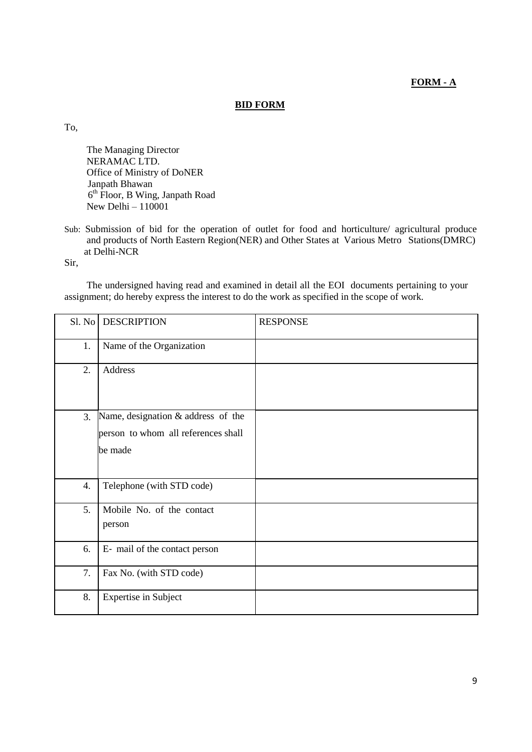# **FORM - A**

#### **BID FORM**

To,

The Managing Director NERAMAC LTD. Office of Ministry of DoNER Janpath Bhawan 6 th Floor, B Wing, Janpath Road New Delhi – 110001

Sub: Submission of bid for the operation of outlet for food and horticulture/ agricultural produce and products of North Eastern Region(NER) and Other States at Various Metro Stations(DMRC) at Delhi-NCR

Sir,

The undersigned having read and examined in detail all the EOI documents pertaining to your assignment; do hereby express the interest to do the work as specified in the scope of work.

| Sl. No | <b>DESCRIPTION</b>                                                                   | <b>RESPONSE</b> |
|--------|--------------------------------------------------------------------------------------|-----------------|
| 1.     | Name of the Organization                                                             |                 |
| 2.     | Address                                                                              |                 |
| 3.     | Name, designation & address of the<br>person to whom all references shall<br>be made |                 |
| 4.     | Telephone (with STD code)                                                            |                 |
| 5.     | Mobile No. of the contact<br>person                                                  |                 |
| 6.     | E- mail of the contact person                                                        |                 |
| 7.     | Fax No. (with STD code)                                                              |                 |
| 8.     | <b>Expertise in Subject</b>                                                          |                 |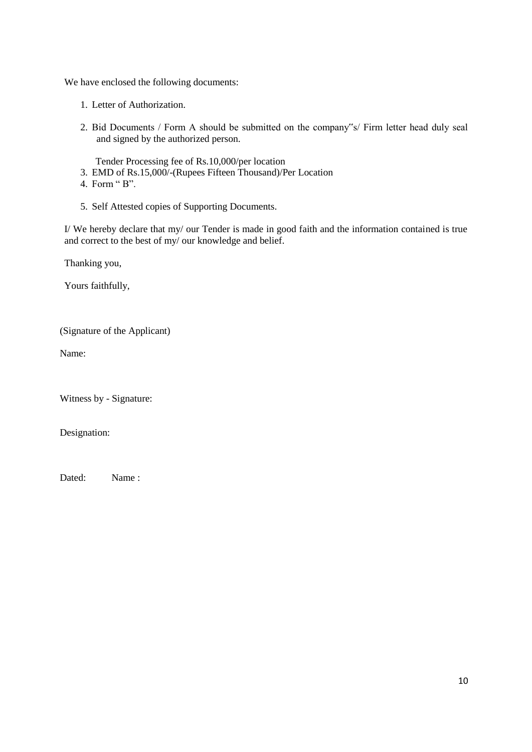We have enclosed the following documents:

- 1. Letter of Authorization.
- 2. Bid Documents / Form A should be submitted on the company"s/ Firm letter head duly seal and signed by the authorized person.

Tender Processing fee of Rs.10,000/per location

- 3. EMD of Rs.15,000/-(Rupees Fifteen Thousand)/Per Location
- 4. Form " B".
- 5. Self Attested copies of Supporting Documents.

I/ We hereby declare that my/ our Tender is made in good faith and the information contained is true and correct to the best of my/ our knowledge and belief.

Thanking you,

Yours faithfully,

(Signature of the Applicant)

Name:

Witness by - Signature:

Designation:

Dated: Name :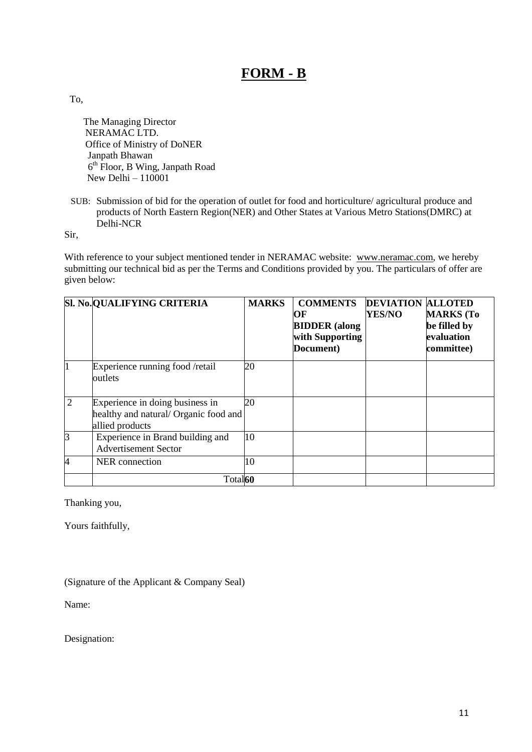# **FORM - B**

To,

The Managing Director NERAMAC LTD. Office of Ministry of DoNER Janpath Bhawan 6 th Floor, B Wing, Janpath Road New Delhi –  $110001$ 

SUB: Submission of bid for the operation of outlet for food and horticulture/ agricultural produce and products of North Eastern Region(NER) and Other States at Various Metro Stations(DMRC) at Delhi-NCR

Sir,

With reference to your subject mentioned tender in NERAMAC website: [www.neramac.com](http://www.neramac.comb/), we hereby submitting our technical bid as per the Terms and Conditions provided by you. The particulars of offer are given below:

|                | SI. No. QUALIFYING CRITERIA                                                                 | <b>MARKS</b> | <b>COMMENTS</b><br>OF<br><b>BIDDER</b> (along<br>with Supporting<br>Document) | <b>DEVIATION ALLOTED</b><br><b>YES/NO</b> | <b>MARKS</b> (To<br>be filled by<br>evaluation<br>committee) |
|----------------|---------------------------------------------------------------------------------------------|--------------|-------------------------------------------------------------------------------|-------------------------------------------|--------------------------------------------------------------|
| 1              | Experience running food /retail<br>outlets                                                  | 20           |                                                                               |                                           |                                                              |
| $\overline{2}$ | Experience in doing business in<br>healthy and natural/ Organic food and<br>allied products | 20           |                                                                               |                                           |                                                              |
| 3              | Experience in Brand building and<br><b>Advertisement Sector</b>                             | 10           |                                                                               |                                           |                                                              |
| 4              | NER connection                                                                              | 10           |                                                                               |                                           |                                                              |
|                | Total <sup>60</sup>                                                                         |              |                                                                               |                                           |                                                              |

Thanking you,

Yours faithfully,

(Signature of the Applicant & Company Seal)

Name:

Designation: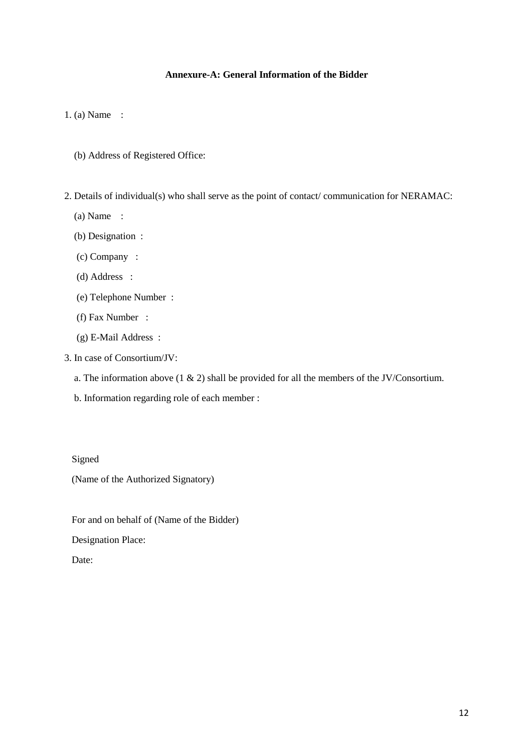# **Annexure-A: General Information of the Bidder**

1. (a) Name :

- (b) Address of Registered Office:
- 2. Details of individual(s) who shall serve as the point of contact/ communication for NERAMAC:
	- (a) Name :
	- (b) Designation :
	- (c) Company :
	- (d) Address :
	- (e) Telephone Number :
	- (f) Fax Number :
	- (g) E-Mail Address :
- 3. In case of Consortium/JV:
	- a. The information above  $(1 \& 2)$  shall be provided for all the members of the JV/Consortium.
	- b. Information regarding role of each member :

#### Signed

(Name of the Authorized Signatory)

For and on behalf of (Name of the Bidder)

Designation Place:

Date: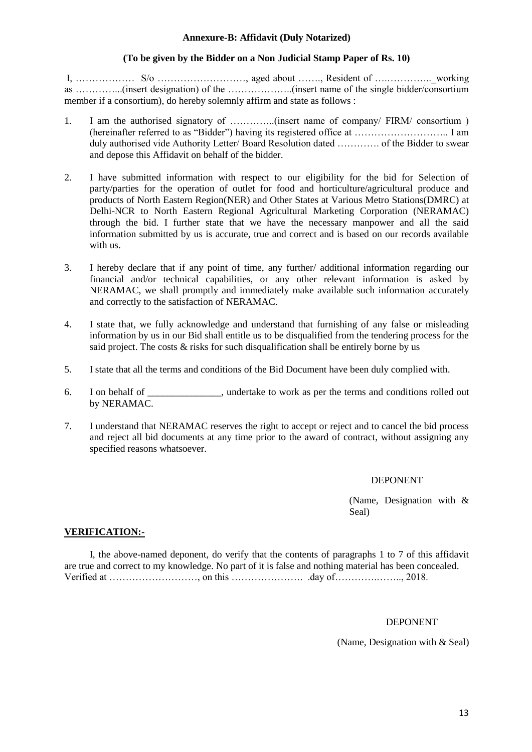#### **Annexure-B: Affidavit (Duly Notarized)**

#### **(To be given by the Bidder on a Non Judicial Stamp Paper of Rs. 10)**

I, ……………… S/o ………………………, aged about ……., Resident of ….…………..\_working as …………...(insert designation) of the ………………..(insert name of the single bidder/consortium member if a consortium), do hereby solemnly affirm and state as follows :

- 1. I am the authorised signatory of …………..(insert name of company/ FIRM/ consortium ) (hereinafter referred to as "Bidder") having its registered office at ……………………….. I am duly authorised vide Authority Letter/ Board Resolution dated …………. of the Bidder to swear and depose this Affidavit on behalf of the bidder.
- 2. I have submitted information with respect to our eligibility for the bid for Selection of party/parties for the operation of outlet for food and horticulture/agricultural produce and products of North Eastern Region(NER) and Other States at Various Metro Stations(DMRC) at Delhi-NCR to North Eastern Regional Agricultural Marketing Corporation (NERAMAC) through the bid. I further state that we have the necessary manpower and all the said information submitted by us is accurate, true and correct and is based on our records available with us.
- 3. I hereby declare that if any point of time, any further/ additional information regarding our financial and/or technical capabilities, or any other relevant information is asked by  $NERAMAC$ , we shall promptly and immediately make available such information accurately and correctly to the satisfaction of NERAMAC.
- 4. I state that, we fully acknowledge and understand that furnishing of any false or misleading information by us in our Bid shall entitle us to be disqualified from the tendering process for the said project. The costs & risks for such disqualification shall be entirely borne by us
- 5. I state that all the terms and conditions of the Bid Document have been duly complied with.
- 6. I on behalf of \_\_\_\_\_\_\_\_\_\_\_\_\_\_\_, undertake to work as per the terms and conditions rolled out by NERAMAC.
- 7. I understand that NERAMAC reserves the right to accept or reject and to cancel the bid process and reject all bid documents at any time prior to the award of contract, without assigning any specified reasons whatsoever.

#### DEPONENT

(Name, Designation with & Seal)

#### **VERIFICATION:-**

I, the above-named deponent, do verify that the contents of paragraphs 1 to 7 of this affidavit are true and correct to my knowledge. No part of it is false and nothing material has been concealed. Verified at ………………………, on this …………………. .day of………….…….., 2018.

#### DEPONENT

(Name, Designation with & Seal)